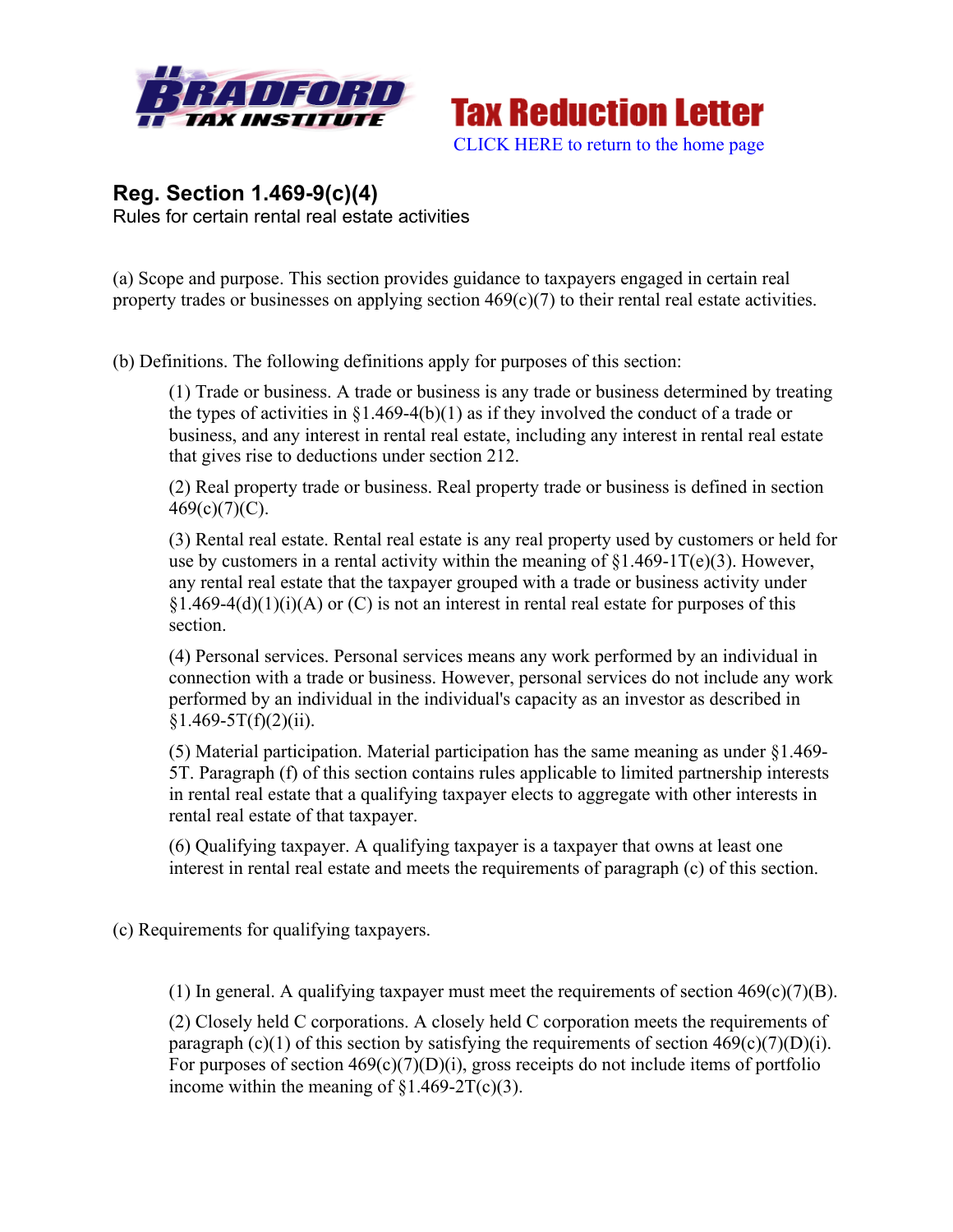



## **Reg. Section 1.469-9(c)(4)** Rules for certain rental real estate activities

(a) Scope and purpose. This section provides guidance to taxpayers engaged in certain real property trades or businesses on applying section 469(c)(7) to their rental real estate activities.

(b) Definitions. The following definitions apply for purposes of this section:

(1) Trade or business. A trade or business is any trade or business determined by treating the types of activities in  $\S1.469-4(b)(1)$  as if they involved the conduct of a trade or business, and any interest in rental real estate, including any interest in rental real estate that gives rise to deductions under section 212.

(2) Real property trade or business. Real property trade or business is defined in section  $469(c)(7)(C)$ .

(3) Rental real estate. Rental real estate is any real property used by customers or held for use by customers in a rental activity within the meaning of  $$1.469-1T(e)(3)$ . However, any rental real estate that the taxpayer grouped with a trade or business activity under  $§1.469-4(d)(1)(i)(A)$  or (C) is not an interest in rental real estate for purposes of this section.

(4) Personal services. Personal services means any work performed by an individual in connection with a trade or business. However, personal services do not include any work performed by an individual in the individual's capacity as an investor as described in  $$1.469-5T(f)(2)(ii).$ 

(5) Material participation. Material participation has the same meaning as under §1.469- 5T. Paragraph (f) of this section contains rules applicable to limited partnership interests in rental real estate that a qualifying taxpayer elects to aggregate with other interests in rental real estate of that taxpayer.

(6) Qualifying taxpayer. A qualifying taxpayer is a taxpayer that owns at least one interest in rental real estate and meets the requirements of paragraph (c) of this section.

(c) Requirements for qualifying taxpayers.

(1) In general. A qualifying taxpayer must meet the requirements of section  $469(c)(7)(B)$ .

(2) Closely held C corporations. A closely held C corporation meets the requirements of paragraph (c)(1) of this section by satisfying the requirements of section  $469(c)(7)(D)(i)$ . For purposes of section  $469(c)(7)(D)(i)$ , gross receipts do not include items of portfolio income within the meaning of  $\S1.469-2T(c)(3)$ .